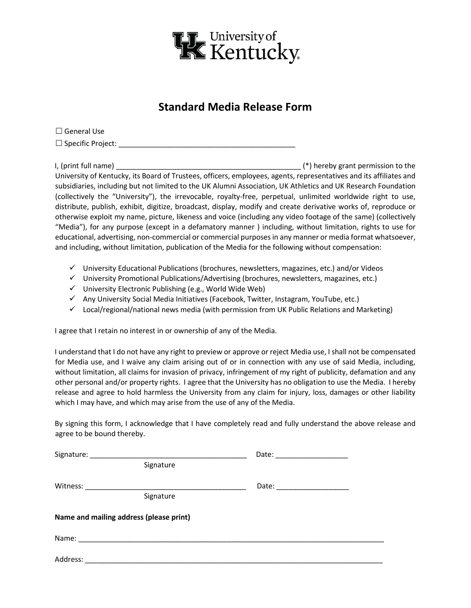

## **Standard Media Release Form**

 $\square$  General Use Specific Project: \_\_\_\_\_\_\_\_\_\_\_\_\_\_\_\_\_\_\_\_\_\_\_\_\_\_\_\_\_\_\_\_\_\_\_\_\_\_\_\_\_\_\_\_

I, (print full name) \_\_\_\_\_\_\_\_\_\_\_\_\_\_\_\_\_\_\_\_\_\_\_\_\_\_\_\_\_\_\_\_\_\_\_\_\_\_\_\_\_\_\_\_\_\_ (\*) hereby grant permission to the University of Kentucky, its Board of Trustees, officers, employees, agents, representatives and its affiliates and subsidiaries, including but not limited to the UK Alumni Association, UK Athletics and UK Research Foundation (collectively the "University"), the irrevocable, royalty-free, perpetual, unlimited worldwide right to use, distribute, publish, exhibit, digitize, broadcast, display, modify and create derivative works of, reproduce or otherwise exploit my name, picture, likeness and voice (including any video footage of the same) (collectively "Media"), for any purpose (except in a defamatory manner ) including, without limitation, rights to use for educational, advertising, non-commercial or commercial purposes in any manner or media format whatsoever, and including, without limitation, publication of the Media for the following without compensation:

- $\checkmark$  University Educational Publications (brochures, newsletters, magazines, etc.) and/or Videos
- $\checkmark$  University Promotional Publications/Advertising (brochures, newsletters, magazines, etc.)
- $\checkmark$  University Electronic Publishing (e.g., World Wide Web)
- $\checkmark$  Any University Social Media Initiatives (Facebook, Twitter, Instagram, YouTube, etc.)
- $\checkmark$  Local/regional/national news media (with permission from UK Public Relations and Marketing)

I agree that I retain no interest in or ownership of any of the Media.

I understand that I do not have any right to preview or approve or reject Media use, I shall not be compensated for Media use, and I waive any claim arising out of or in connection with any use of said Media, including, without limitation, all claims for invasion of privacy, infringement of my right of publicity, defamation and any other personal and/or property rights. I agree that the University has no obligation to use the Media. I hereby release and agree to hold harmless the University from any claim for injury, loss, damages or other liability which I may have, and which may arise from the use of any of the Media.

By signing this form, I acknowledge that I have completely read and fully understand the above release and agree to be bound thereby.

|          | Signature                               |  |
|----------|-----------------------------------------|--|
| Witness: | Signature                               |  |
|          | Name and mailing address (please print) |  |
|          |                                         |  |
| Address: |                                         |  |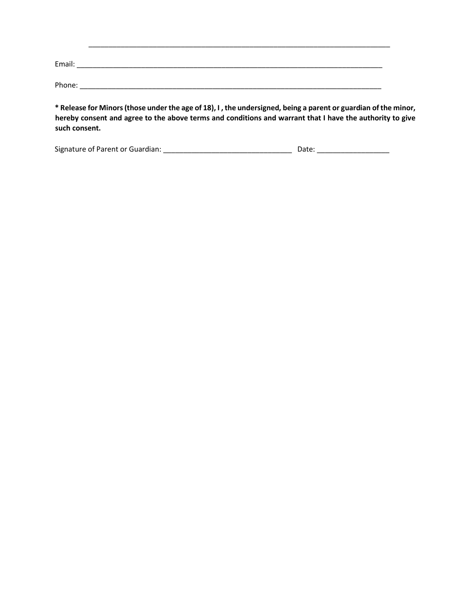| Email: |  |
|--------|--|
| Phone: |  |

**\* Release for Minors (those under the age of 18), I , the undersigned, being a parent or guardian of the minor, hereby consent and agree to the above terms and conditions and warrant that I have the authority to give such consent.** 

\_\_\_\_\_\_\_\_\_\_\_\_\_\_\_\_\_\_\_\_\_\_\_\_\_\_\_\_\_\_\_\_\_\_\_\_\_\_\_\_\_\_\_\_\_\_\_\_\_\_\_\_\_\_\_\_\_\_\_\_\_\_\_\_\_\_\_\_\_\_\_\_\_\_\_

| Signature of Parent or Guardian: | Date: |
|----------------------------------|-------|
|                                  |       |